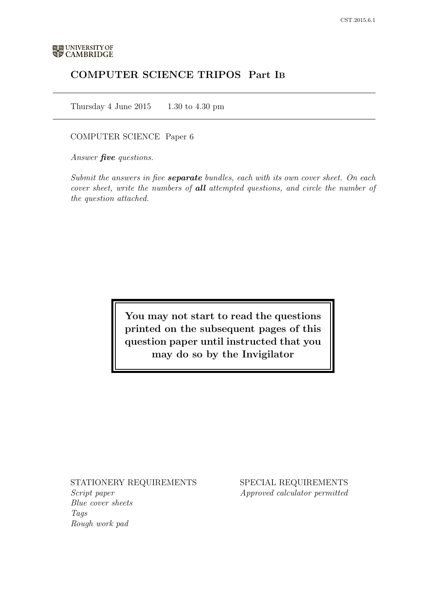# COMPUTER SCIENCE TRIPOS Part IB

Thursday 4 June  $2015$  1.30 to 4.30 pm

# COMPUTER SCIENCE Paper 6

Answer **five** questions.

Submit the answers in five **separate** bundles, each with its own cover sheet. On each cover sheet, write the numbers of **all** attempted questions, and circle the number of the question attached.

> You may not start to read the questions printed on the subsequent pages of this question paper until instructed that you may do so by the Invigilator

## STATIONERY REQUIREMENTS

Script paper Blue cover sheets Tags Rough work pad

SPECIAL REQUIREMENTS Approved calculator permitted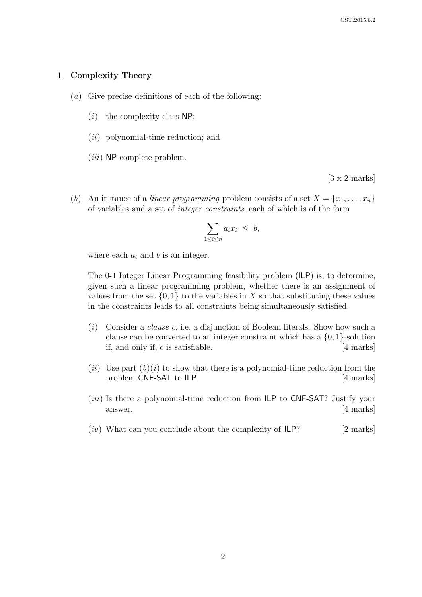#### 1 Complexity Theory

- (a) Give precise definitions of each of the following:
	- $(i)$  the complexity class NP;
	- $(ii)$  polynomial-time reduction; and
	- $(iii)$  NP-complete problem.

[3 x 2 marks]

(b) An instance of a linear programming problem consists of a set  $X = \{x_1, \ldots, x_n\}$ of variables and a set of integer constraints, each of which is of the form

$$
\sum_{1 \le i \le n} a_i x_i \le b,
$$

where each  $a_i$  and b is an integer.

The 0-1 Integer Linear Programming feasibility problem (ILP) is, to determine, given such a linear programming problem, whether there is an assignment of values from the set  $\{0,1\}$  to the variables in X so that substituting these values in the constraints leads to all constraints being simultaneously satisfied.

- (i) Consider a *clause c*, i.e. a disjunction of Boolean literals. Show how such a clause can be converted to an integer constraint which has a  $\{0, 1\}$ -solution if, and only if,  $c$  is satisfiable.  $\boxed{4 \text{ marks}}$
- (*ii*) Use part  $(b)(i)$  to show that there is a polynomial-time reduction from the problem CNF-SAT to ILP. [4 marks]
- (*iii*) Is there a polynomial-time reduction from ILP to CNF-SAT? Justify your answer. [4 marks]
- $(iv)$  What can you conclude about the complexity of  $ILP$ ? [2 marks]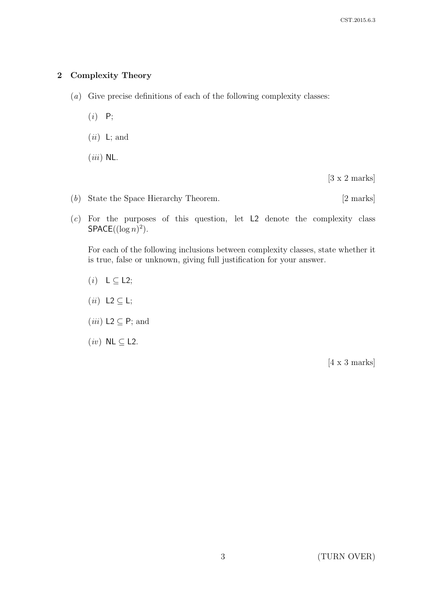# 2 Complexity Theory

- (a) Give precise definitions of each of the following complexity classes:
	- $(i)$   $P;$
	- $(ii)$  L; and
	- $(iii)$  NL.

[3 x 2 marks]

- (b) State the Space Hierarchy Theorem. [2 marks]
- (c) For the purposes of this question, let L2 denote the complexity class  $SPACE((\log n)^2).$

For each of the following inclusions between complexity classes, state whether it is true, false or unknown, giving full justification for your answer.

- $(i) \quad L \subseteq L2;$
- (*ii*) L2  $\subseteq$  L;
- (*iii*) L2  $\subseteq$  P; and
- $(iv)$  NL  $\subseteq$  L2.

[4 x 3 marks]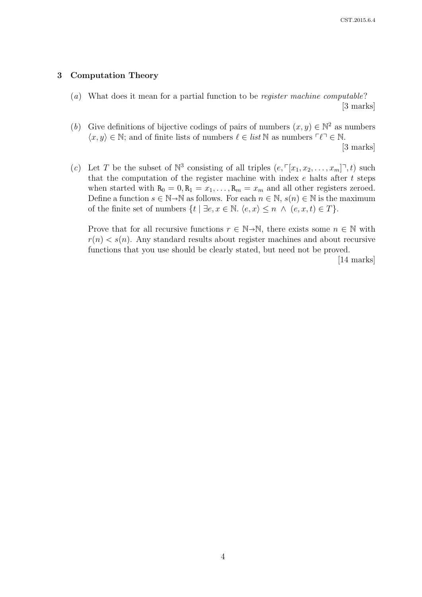### 3 Computation Theory

(a) What does it mean for a partial function to be register machine computable? [3 marks]

(b) Give definitions of bijective codings of pairs of numbers  $(x, y) \in \mathbb{N}^2$  as numbers  $\langle x, y \rangle \in \mathbb{N}$ ; and of finite lists of numbers  $\ell \in \text{list } \mathbb{N}$  as numbers  $\lceil \ell \rceil \in \mathbb{N}$ .

[3 marks]

(c) Let T be the subset of  $\mathbb{N}^3$  consisting of all triples  $(e, \lceil x_1, x_2, \ldots, x_m \rceil^{\mathsf{T}}, t)$  such that the computation of the register machine with index  $e$  halts after  $t$  steps when started with  $R_0 = 0, R_1 = x_1, \ldots, R_m = x_m$  and all other registers zeroed. Define a function  $s \in \mathbb{N} \rightarrow \mathbb{N}$  as follows. For each  $n \in \mathbb{N}$ ,  $s(n) \in \mathbb{N}$  is the maximum of the finite set of numbers  $\{t \mid \exists e, x \in \mathbb{N} \ldotp \langle e, x \rangle \leq n \land (e, x, t) \in T\}.$ 

Prove that for all recursive functions  $r \in \mathbb{N} \rightarrow \mathbb{N}$ , there exists some  $n \in \mathbb{N}$  with  $r(n) < s(n)$ . Any standard results about register machines and about recursive functions that you use should be clearly stated, but need not be proved.

[14 marks]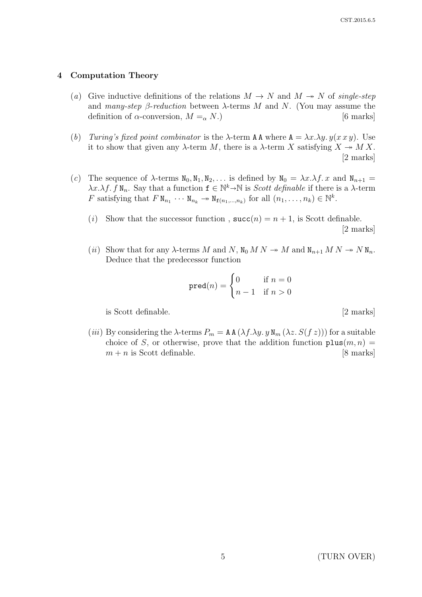#### 4 Computation Theory

- (a) Give inductive definitions of the relations  $M \to N$  and  $M \to N$  of single-step and many-step  $\beta$ -reduction between  $\lambda$ -terms M and N. (You may assume the definition of  $\alpha$ -conversion,  $M =_{\alpha} N$ .) [6 marks]
- (b) Turing's fixed point combinator is the  $\lambda$ -term AA where  $A = \lambda x \cdot \lambda y \cdot y(x \cdot x \cdot y)$ . Use it to show that given any  $\lambda$ -term M, there is a  $\lambda$ -term X satisfying  $X \to M X$ . [2 marks]
- (c) The sequence of  $\lambda$ -terms  $N_0, N_1, N_2, \ldots$  is defined by  $N_0 = \lambda x \cdot \lambda f$ . x and  $N_{n+1} =$  $\lambda x.\lambda f. f N_n$ . Say that a function  $f \in \mathbb{N}^k \to \mathbb{N}$  is *Scott definable* if there is a  $\lambda$ -term  $F$  or other substanting that  $F N$ F satisfying that  $F \mathbb{N}_{n_1} \cdots \mathbb{N}_{n_k} \to \mathbb{N}_{\mathbf{f}(n_1,\ldots,n_k)}$  for all  $(n_1,\ldots,n_k) \in \mathbb{N}^k$ .
	- (i) Show that the successor function,  $succ(n) = n + 1$ , is Scott definable. [2 marks]
	- (ii) Show that for any  $\lambda$ -terms M and N,  $N_0 M N \to M$  and  $N_{n+1} M N \to N N_n$ . Deduce that the predecessor function

$$
\text{pred}(n) = \begin{cases} 0 & \text{if } n = 0 \\ n - 1 & \text{if } n > 0 \end{cases}
$$

is Scott definable. [2 marks]

(iii) By considering the  $\lambda$ -terms  $P_m = A A (\lambda f. \lambda y. y N_m (\lambda z. S(f z)))$  for a suitable choice of S, or otherwise, prove that the addition function  $\texttt{plus}(m, n) =$  $m + n$  is Scott definable. [8 marks]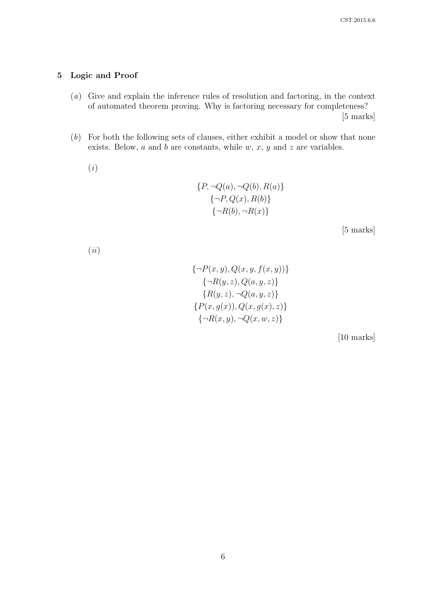# 5 Logic and Proof

- (a) Give and explain the inference rules of resolution and factoring, in the context of automated theorem proving. Why is factoring necessary for completeness? [5 marks]
- (b) For both the following sets of clauses, either exhibit a model or show that none exists. Below,  $a$  and  $b$  are constants, while  $w, x, y$  and  $z$  are variables.
	- (i)

$$
{P, \neg Q(a), \neg Q(b), R(a)}
$$
  

$$
{\neg P, Q(x), R(b)}
$$
  

$$
{\neg R(b), \neg R(x)}
$$

[5 marks]

(ii)

$$
\{\neg P(x, y), Q(x, y, f(x, y))\}\n\{\neg R(y, z), Q(a, y, z)\}\n\{R(y, z), \neg Q(a, y, z)\}\n\{P(x, g(x)), Q(x, g(x), z)\}\n\{\neg R(x, y), \neg Q(x, w, z)\}
$$

[10 marks]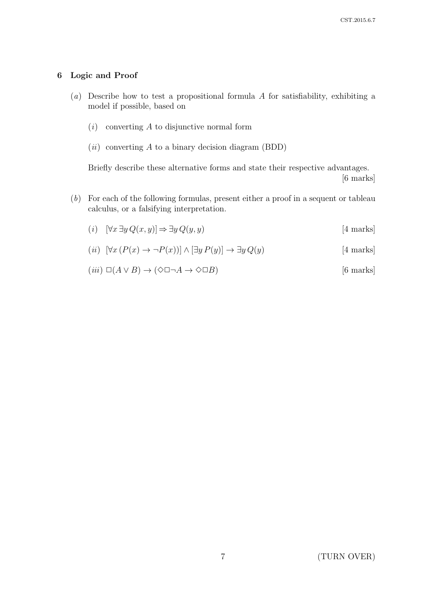# 6 Logic and Proof

- (a) Describe how to test a propositional formula A for satisfiability, exhibiting a model if possible, based on
	- $(i)$  converting A to disjunctive normal form
	- $(ii)$  converting A to a binary decision diagram (BDD)

Briefly describe these alternative forms and state their respective advantages. [6 marks]

(b) For each of the following formulas, present either a proof in a sequent or tableau calculus, or a falsifying interpretation.

$$
(i) \quad [\forall x \ \exists y \ Q(x, y)] \Rightarrow \exists y \ Q(y, y) \tag{4 marks}
$$

$$
(ii) \ [\forall x (P(x) \to \neg P(x))] \land [\exists y P(y)] \to \exists y Q(y) \tag{4 marks}
$$

$$
(iii) \ \Box(A \lor B) \to (\Diamond \Box \neg A \to \Diamond \Box B) \tag{6 marks}
$$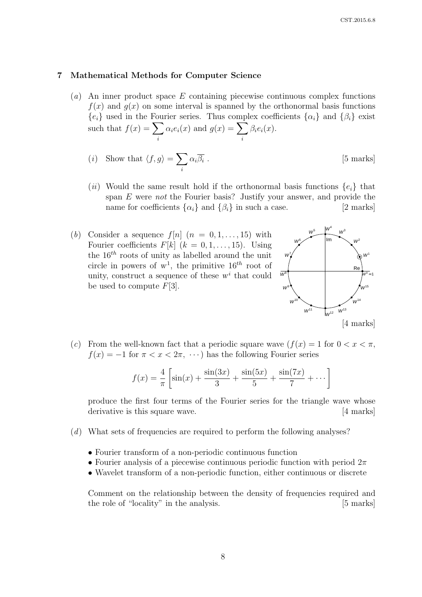#### 7 Mathematical Methods for Computer Science

(a) An inner product space E containing piecewise continuous complex functions  $f(x)$  and  $g(x)$  on some interval is spanned by the orthonormal basis functions  ${e_i}$  used in the Fourier series. Thus complex coefficients  ${\alpha_i}$  and  ${\beta_i}$  exist such that  $f(x) = \sum$ i  $\alpha_i e_i(x)$  and  $g(x) = \sum$ i  $\beta_i e_i(x)$ .

(i) Show that 
$$
\langle f, g \rangle = \sum_{i} \alpha_i \overline{\beta_i}
$$
. [5 marks]

- (ii) Would the same result hold if the orthonormal basis functions  $\{e_i\}$  that span E were not the Fourier basis? Justify your answer, and provide the name for coefficients  $\{\alpha_i\}$  and  $\{\beta_i\}$  in such a case. [2 marks]
- (b) Consider a sequence  $f[n]$   $(n = 0, 1, \ldots, 15)$  with Fourier coefficients  $F[k]$   $(k = 0, 1, \ldots, 15)$ . Using the  $16^{th}$  roots of unity as labelled around the unit circle in powers of  $w^1$ , the primitive  $16^{th}$  root of unity, construct a sequence of these  $w^i$  that could be used to compute  $F[3]$ .



(c) From the well-known fact that a periodic square wave  $(f(x) = 1$  for  $0 < x < \pi$ ,  $f(x) = -1$  for  $\pi < x < 2\pi, \dots$ ) has the following Fourier series

$$
f(x) = \frac{4}{\pi} \left[ \sin(x) + \frac{\sin(3x)}{3} + \frac{\sin(5x)}{5} + \frac{\sin(7x)}{7} + \dots \right]
$$

produce the first four terms of the Fourier series for the triangle wave whose derivative is this square wave. [4 marks]

- (d) What sets of frequencies are required to perform the following analyses?
	- Fourier transform of a non-periodic continuous function
	- Fourier analysis of a piecewise continuous periodic function with period  $2\pi$
	- Wavelet transform of a non-periodic function, either continuous or discrete

Comment on the relationship between the density of frequencies required and the role of "locality" in the analysis. [5 marks]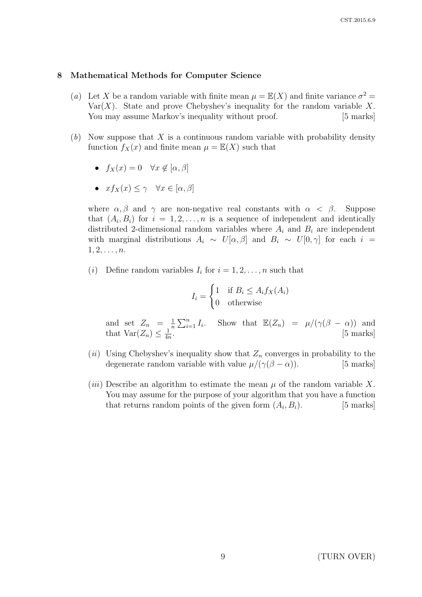#### 8 Mathematical Methods for Computer Science

- (a) Let X be a random variable with finite mean  $\mu = \mathbb{E}(X)$  and finite variance  $\sigma^2 =$ Var $(X)$ . State and prove Chebyshev's inequality for the random variable X. You may assume Markov's inequality without proof. [5 marks]
- $(b)$  Now suppose that X is a continuous random variable with probability density function  $f_X(x)$  and finite mean  $\mu = \mathbb{E}(X)$  such that
	- $f_X(x) = 0 \quad \forall x \notin [\alpha, \beta]$
	- $xf_X(x) \leq \gamma \quad \forall x \in [\alpha, \beta]$

where  $\alpha, \beta$  and  $\gamma$  are non-negative real constants with  $\alpha < \beta$ . Suppose that  $(A_i, B_i)$  for  $i = 1, 2, ..., n$  is a sequence of independent and identically distributed 2-dimensional random variables where  $A_i$  and  $B_i$  are independent with marginal distributions  $A_i \sim U[\alpha, \beta]$  and  $B_i \sim U[0, \gamma]$  for each  $i =$  $1, 2, \ldots, n$ .

(*i*) Define random variables  $I_i$  for  $i = 1, 2, ..., n$  such that

$$
I_i = \begin{cases} 1 & \text{if } B_i \le A_i f_X(A_i) \\ 0 & \text{otherwise} \end{cases}
$$

and set  $Z_n = \frac{1}{n}$  $\frac{1}{n} \sum_{i=1}^{n} I_i$ . Show that  $\mathbb{E}(Z_n) = \mu/(\gamma(\beta - \alpha))$  and that  $Var(Z_n) \leq \frac{1}{4n}$  $\frac{1}{4n}$ . [5 marks]

- (ii) Using Chebyshev's inequality show that  $Z_n$  converges in probability to the degenerate random variable with value  $\mu/(\gamma(\beta - \alpha))$ . [5 marks]
- (*iii*) Describe an algorithm to estimate the mean  $\mu$  of the random variable X. You may assume for the purpose of your algorithm that you have a function that returns random points of the given form  $(A_i, B_i)$ .  $[5$  marks].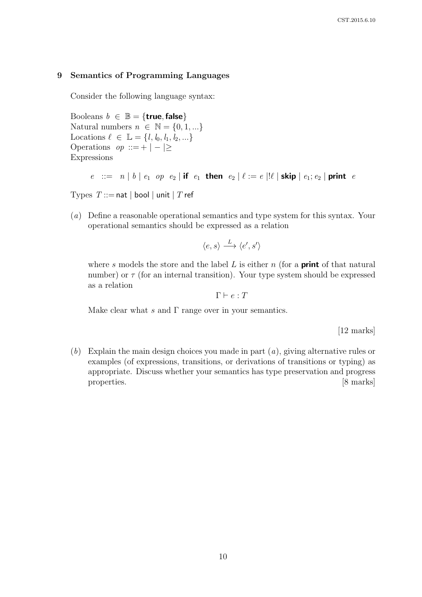### 9 Semantics of Programming Languages

Consider the following language syntax:

Booleans  $b \in \mathbb{B} = \{$ true, false $\}$ Natural numbers  $n \in \mathbb{N} = \{0, 1, ...\}$ Locations  $\ell \in \mathbb{L} = \{l, l_0, l_1, l_2, \ldots\}$ Operations  $op ::= + | - | \geq$ Expressions

 $e$  ::=  $n | b | e_1$  op  $e_2 |$  if  $e_1$  then  $e_2 | \ell := e | \ell |$  skip  $| e_1; e_2 |$  print e

Types  $T ::=$  nat | bool | unit | T ref

(a) Define a reasonable operational semantics and type system for this syntax. Your operational semantics should be expressed as a relation

$$
\langle e, s \rangle \xrightarrow{L} \langle e', s' \rangle
$$

where s models the store and the label L is either n (for a **print** of that natural number) or  $\tau$  (for an internal transition). Your type system should be expressed as a relation

 $\Gamma \vdash e : T$ 

Make clear what s and  $\Gamma$  range over in your semantics.

[12 marks]

(b) Explain the main design choices you made in part  $(a)$ , giving alternative rules or examples (of expressions, transitions, or derivations of transitions or typing) as appropriate. Discuss whether your semantics has type preservation and progress properties. [8 marks]